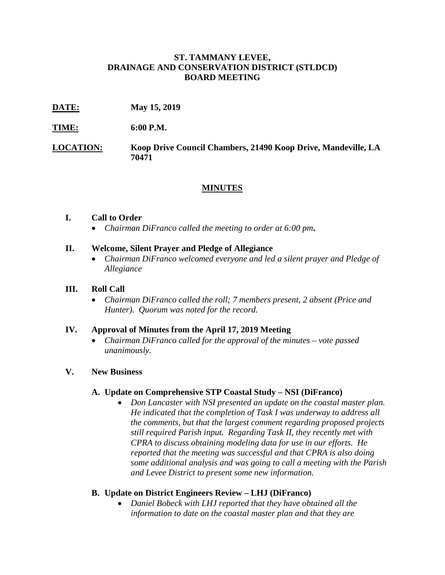## **ST. TAMMANY LEVEE, DRAINAGE AND CONSERVATION DISTRICT (STLDCD) BOARD MEETING**

**DATE: May 15, 2019**

**TIME: 6:00 P.M.**

**LOCATION: Koop Drive Council Chambers, 21490 Koop Drive, Mandeville, LA 70471**

# **MINUTES**

### **I. Call to Order**

• *Chairman DiFranco called the meeting to order at 6:00 pm***.**

## **II. Welcome, Silent Prayer and Pledge of Allegiance**

• *Chairman DiFranco welcomed everyone and led a silent prayer and Pledge of Allegiance*

## **III. Roll Call**

• *Chairman DiFranco called the roll; 7 members present, 2 absent (Price and Hunter). Quorum was noted for the record.*

#### **IV. Approval of Minutes from the April 17, 2019 Meeting**

• *Chairman DiFranco called for the approval of the minutes – vote passed unanimously.*

## **V. New Business**

#### **A. Update on Comprehensive STP Coastal Study – NSI (DiFranco)**

• *Don Lancaster with NSI presented an update on the coastal master plan. He indicated that the completion of Task I was underway to address all the comments, but that the largest comment regarding proposed projects still required Parish input. Regarding Task II, they recently met with CPRA to discuss obtaining modeling data for use in our efforts. He reported that the meeting was successful and that CPRA is also doing some additional analysis and was going to call a meeting with the Parish and Levee District to present some new information.*

## **B. Update on District Engineers Review – LHJ (DiFranco)**

• *Daniel Bobeck with LHJ reported that they have obtained all the information to date on the coastal master plan and that they are*